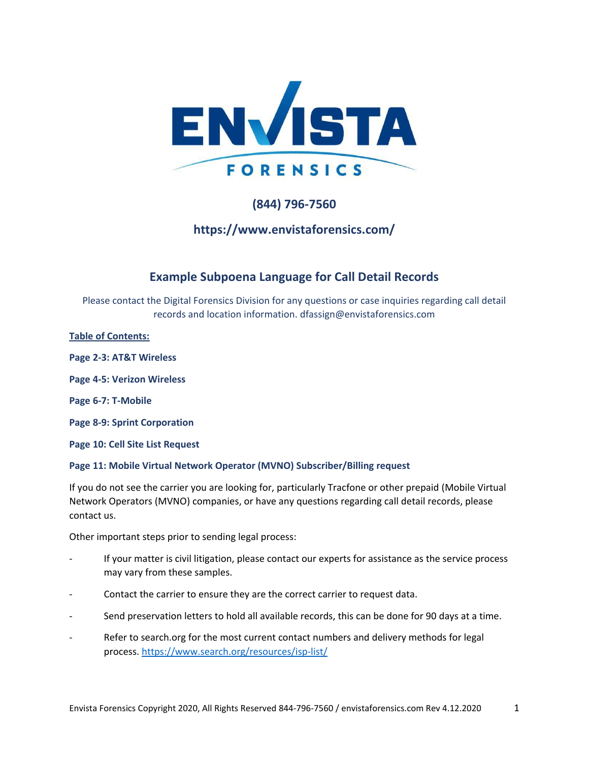

# **(844) 796-7560**

# **https://www.envistaforensics.com/**

# **Example Subpoena Language for Call Detail Records**

Please contact the Digital Forensics Division for any questions or case inquiries regarding call detail records and location information. dfassign@envistaforensics.com

**Table of Contents:**

- **Page 2-3: AT&T Wireless**
- **Page 4-5: Verizon Wireless**
- **Page 6-7: T-Mobile**
- **Page 8-9: Sprint Corporation**
- **Page 10: Cell Site List Request**

## **Page 11: Mobile Virtual Network Operator (MVNO) Subscriber/Billing request**

If you do not see the carrier you are looking for, particularly Tracfone or other prepaid (Mobile Virtual Network Operators (MVNO) companies, or have any questions regarding call detail records, please contact us.

Other important steps prior to sending legal process:

- If your matter is civil litigation, please contact our experts for assistance as the service process may vary from these samples.
- Contact the carrier to ensure they are the correct carrier to request data.
- Send preservation letters to hold all available records, this can be done for 90 days at a time.
- Refer to search.org for the most current contact numbers and delivery methods for legal process.<https://www.search.org/resources/isp-list/>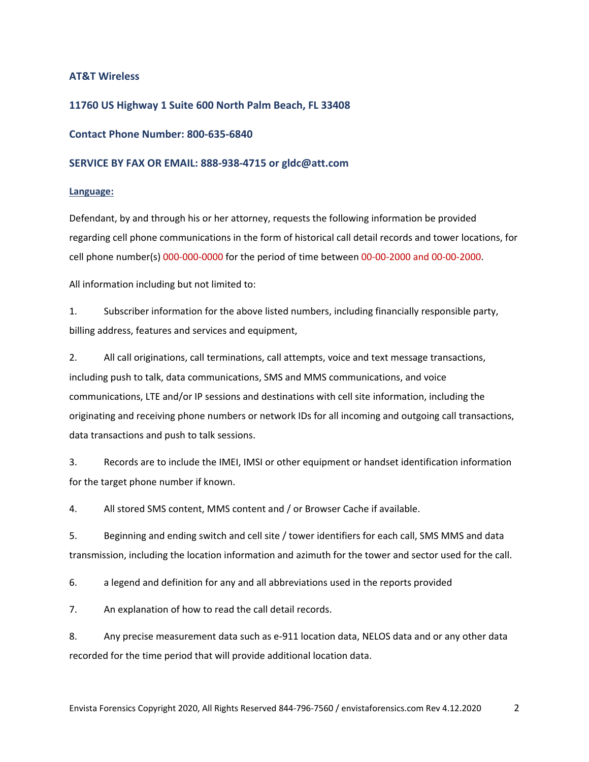## **AT&T Wireless**

## **11760 US Highway 1 Suite 600 North Palm Beach, FL 33408**

### **Contact Phone Number: 800-635-6840**

#### **SERVICE BY FAX OR EMAIL: 888-938-4715 or gldc@att.com**

#### **Language:**

Defendant, by and through his or her attorney, requests the following information be provided regarding cell phone communications in the form of historical call detail records and tower locations, for cell phone number(s) 000-000-0000 for the period of time between 00-00-2000 and 00-00-2000.

All information including but not limited to:

1. Subscriber information for the above listed numbers, including financially responsible party, billing address, features and services and equipment,

2. All call originations, call terminations, call attempts, voice and text message transactions, including push to talk, data communications, SMS and MMS communications, and voice communications, LTE and/or IP sessions and destinations with cell site information, including the originating and receiving phone numbers or network IDs for all incoming and outgoing call transactions, data transactions and push to talk sessions.

3. Records are to include the IMEI, IMSI or other equipment or handset identification information for the target phone number if known.

4. All stored SMS content, MMS content and / or Browser Cache if available.

5. Beginning and ending switch and cell site / tower identifiers for each call, SMS MMS and data transmission, including the location information and azimuth for the tower and sector used for the call.

6. a legend and definition for any and all abbreviations used in the reports provided

7. An explanation of how to read the call detail records.

8. Any precise measurement data such as e-911 location data, NELOS data and or any other data recorded for the time period that will provide additional location data.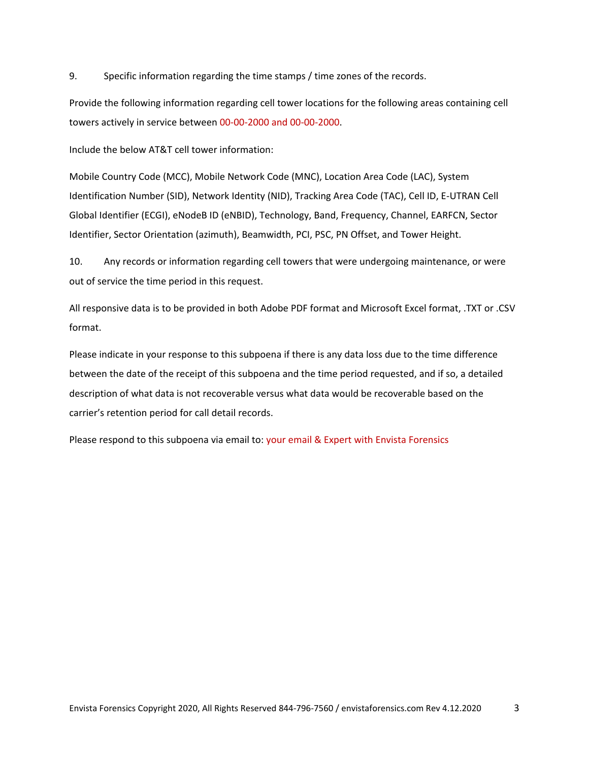9. Specific information regarding the time stamps / time zones of the records.

Provide the following information regarding cell tower locations for the following areas containing cell towers actively in service between 00-00-2000 and 00-00-2000.

Include the below AT&T cell tower information:

Mobile Country Code (MCC), Mobile Network Code (MNC), Location Area Code (LAC), System Identification Number (SID), Network Identity (NID), Tracking Area Code (TAC), Cell ID, E-UTRAN Cell Global Identifier (ECGI), eNodeB ID (eNBID), Technology, Band, Frequency, Channel, EARFCN, Sector Identifier, Sector Orientation (azimuth), Beamwidth, PCI, PSC, PN Offset, and Tower Height.

10. Any records or information regarding cell towers that were undergoing maintenance, or were out of service the time period in this request.

All responsive data is to be provided in both Adobe PDF format and Microsoft Excel format, .TXT or .CSV format.

Please indicate in your response to this subpoena if there is any data loss due to the time difference between the date of the receipt of this subpoena and the time period requested, and if so, a detailed description of what data is not recoverable versus what data would be recoverable based on the carrier's retention period for call detail records.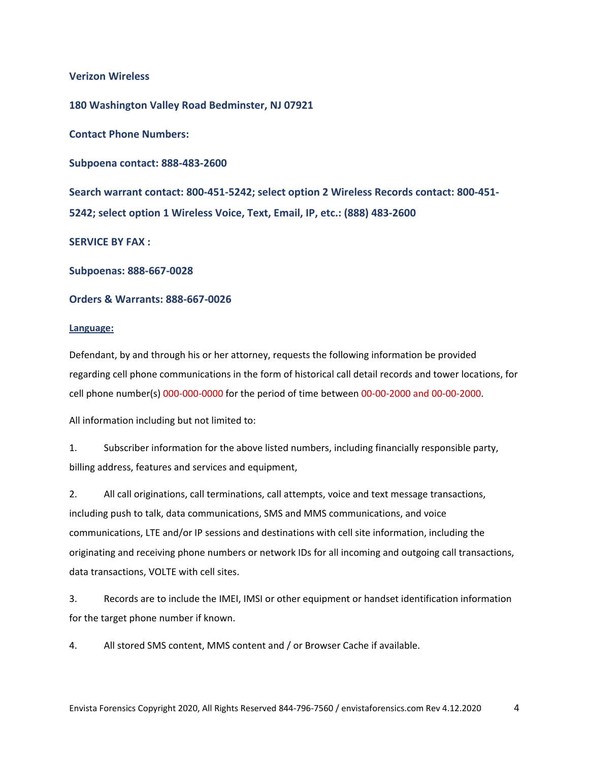**Verizon Wireless** 

**180 Washington Valley Road Bedminster, NJ 07921**

**Contact Phone Numbers:**

**Subpoena contact: 888-483-2600**

**Search warrant contact: 800-451-5242; select option 2 Wireless Records contact: 800-451- 5242; select option 1 Wireless Voice, Text, Email, IP, etc.: (888) 483-2600**

**SERVICE BY FAX :**

**Subpoenas: 888-667-0028**

### **Orders & Warrants: 888-667-0026**

#### **Language:**

Defendant, by and through his or her attorney, requests the following information be provided regarding cell phone communications in the form of historical call detail records and tower locations, for cell phone number(s) 000-000-0000 for the period of time between 00-00-2000 and 00-00-2000.

All information including but not limited to:

1. Subscriber information for the above listed numbers, including financially responsible party, billing address, features and services and equipment,

2. All call originations, call terminations, call attempts, voice and text message transactions, including push to talk, data communications, SMS and MMS communications, and voice communications, LTE and/or IP sessions and destinations with cell site information, including the originating and receiving phone numbers or network IDs for all incoming and outgoing call transactions, data transactions, VOLTE with cell sites.

3. Records are to include the IMEI, IMSI or other equipment or handset identification information for the target phone number if known.

4. All stored SMS content, MMS content and / or Browser Cache if available.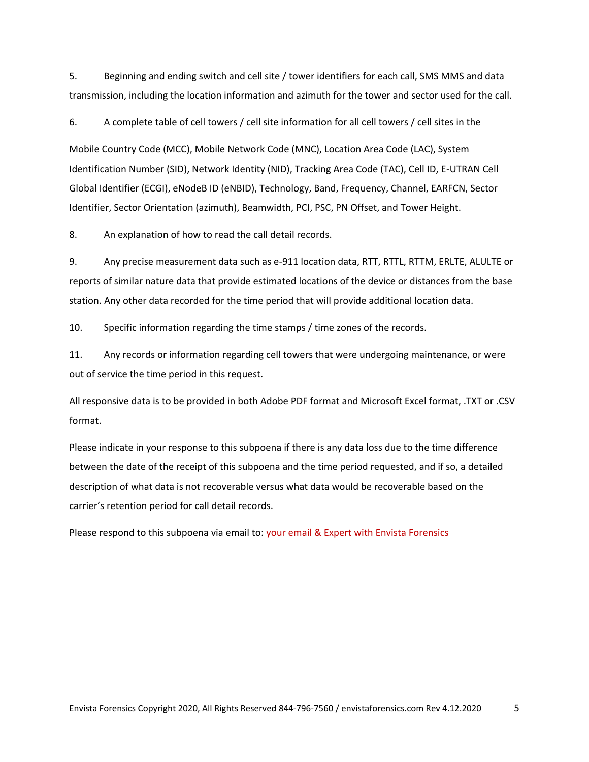5. Beginning and ending switch and cell site / tower identifiers for each call, SMS MMS and data transmission, including the location information and azimuth for the tower and sector used for the call.

6. A complete table of cell towers / cell site information for all cell towers / cell sites in the

Mobile Country Code (MCC), Mobile Network Code (MNC), Location Area Code (LAC), System Identification Number (SID), Network Identity (NID), Tracking Area Code (TAC), Cell ID, E-UTRAN Cell Global Identifier (ECGI), eNodeB ID (eNBID), Technology, Band, Frequency, Channel, EARFCN, Sector Identifier, Sector Orientation (azimuth), Beamwidth, PCI, PSC, PN Offset, and Tower Height.

8. An explanation of how to read the call detail records.

9. Any precise measurement data such as e-911 location data, RTT, RTTL, RTTM, ERLTE, ALULTE or reports of similar nature data that provide estimated locations of the device or distances from the base station. Any other data recorded for the time period that will provide additional location data.

10. Specific information regarding the time stamps / time zones of the records.

11. Any records or information regarding cell towers that were undergoing maintenance, or were out of service the time period in this request.

All responsive data is to be provided in both Adobe PDF format and Microsoft Excel format, .TXT or .CSV format.

Please indicate in your response to this subpoena if there is any data loss due to the time difference between the date of the receipt of this subpoena and the time period requested, and if so, a detailed description of what data is not recoverable versus what data would be recoverable based on the carrier's retention period for call detail records.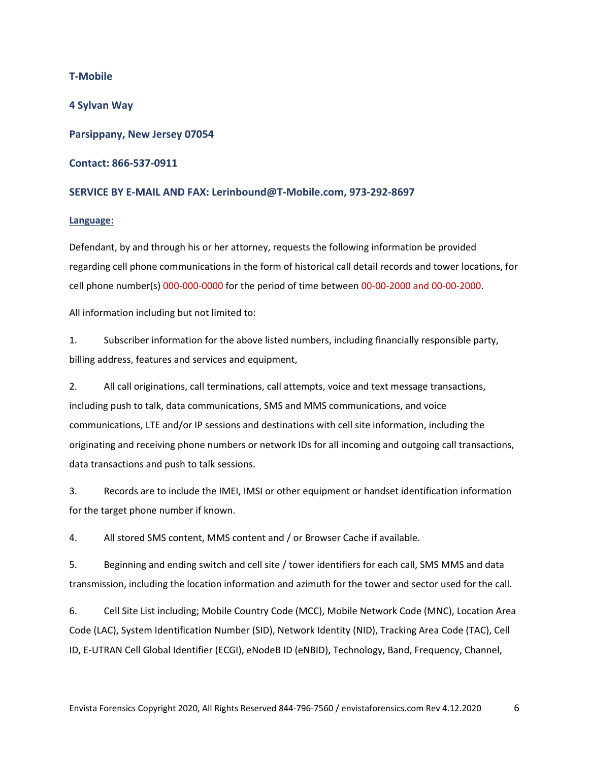**T-Mobile 4 Sylvan Way Parsippany, New Jersey 07054 Contact: 866-537-0911**

## **SERVICE BY E-MAIL AND FAX: Lerinbound@T-Mobile.com, 973-292-8697**

#### **Language:**

Defendant, by and through his or her attorney, requests the following information be provided regarding cell phone communications in the form of historical call detail records and tower locations, for cell phone number(s) 000-000-0000 for the period of time between 00-00-2000 and 00-00-2000.

All information including but not limited to:

1. Subscriber information for the above listed numbers, including financially responsible party, billing address, features and services and equipment,

2. All call originations, call terminations, call attempts, voice and text message transactions, including push to talk, data communications, SMS and MMS communications, and voice communications, LTE and/or IP sessions and destinations with cell site information, including the originating and receiving phone numbers or network IDs for all incoming and outgoing call transactions, data transactions and push to talk sessions.

3. Records are to include the IMEI, IMSI or other equipment or handset identification information for the target phone number if known.

4. All stored SMS content, MMS content and / or Browser Cache if available.

5. Beginning and ending switch and cell site / tower identifiers for each call, SMS MMS and data transmission, including the location information and azimuth for the tower and sector used for the call.

6. Cell Site List including; Mobile Country Code (MCC), Mobile Network Code (MNC), Location Area Code (LAC), System Identification Number (SID), Network Identity (NID), Tracking Area Code (TAC), Cell ID, E-UTRAN Cell Global Identifier (ECGI), eNodeB ID (eNBID), Technology, Band, Frequency, Channel,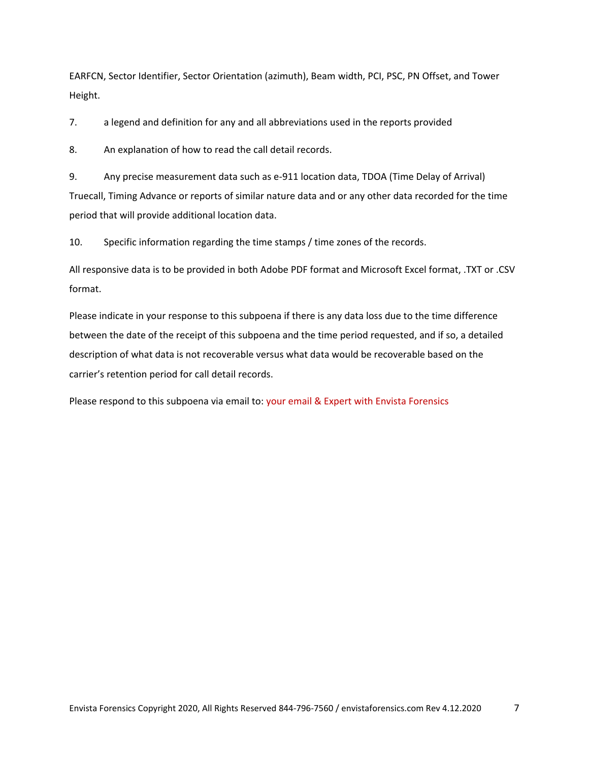EARFCN, Sector Identifier, Sector Orientation (azimuth), Beam width, PCI, PSC, PN Offset, and Tower Height.

7. a legend and definition for any and all abbreviations used in the reports provided

8. An explanation of how to read the call detail records.

9. Any precise measurement data such as e-911 location data, TDOA (Time Delay of Arrival) Truecall, Timing Advance or reports of similar nature data and or any other data recorded for the time period that will provide additional location data.

10. Specific information regarding the time stamps / time zones of the records.

All responsive data is to be provided in both Adobe PDF format and Microsoft Excel format, .TXT or .CSV format.

Please indicate in your response to this subpoena if there is any data loss due to the time difference between the date of the receipt of this subpoena and the time period requested, and if so, a detailed description of what data is not recoverable versus what data would be recoverable based on the carrier's retention period for call detail records.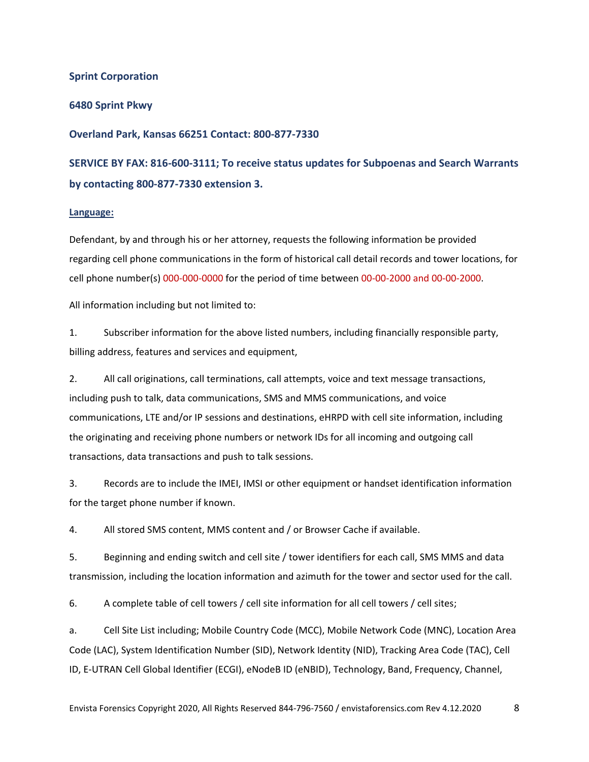#### **Sprint Corporation**

#### **6480 Sprint Pkwy**

#### **Overland Park, Kansas 66251 Contact: 800-877-7330**

# **SERVICE BY FAX: 816-600-3111; To receive status updates for Subpoenas and Search Warrants by contacting 800-877-7330 extension 3.**

#### **Language:**

Defendant, by and through his or her attorney, requests the following information be provided regarding cell phone communications in the form of historical call detail records and tower locations, for cell phone number(s) 000-000-0000 for the period of time between 00-00-2000 and 00-00-2000.

All information including but not limited to:

1. Subscriber information for the above listed numbers, including financially responsible party, billing address, features and services and equipment,

2. All call originations, call terminations, call attempts, voice and text message transactions, including push to talk, data communications, SMS and MMS communications, and voice communications, LTE and/or IP sessions and destinations, eHRPD with cell site information, including the originating and receiving phone numbers or network IDs for all incoming and outgoing call transactions, data transactions and push to talk sessions.

3. Records are to include the IMEI, IMSI or other equipment or handset identification information for the target phone number if known.

4. All stored SMS content, MMS content and / or Browser Cache if available.

5. Beginning and ending switch and cell site / tower identifiers for each call, SMS MMS and data transmission, including the location information and azimuth for the tower and sector used for the call.

6. A complete table of cell towers / cell site information for all cell towers / cell sites;

a. Cell Site List including; Mobile Country Code (MCC), Mobile Network Code (MNC), Location Area Code (LAC), System Identification Number (SID), Network Identity (NID), Tracking Area Code (TAC), Cell ID, E-UTRAN Cell Global Identifier (ECGI), eNodeB ID (eNBID), Technology, Band, Frequency, Channel,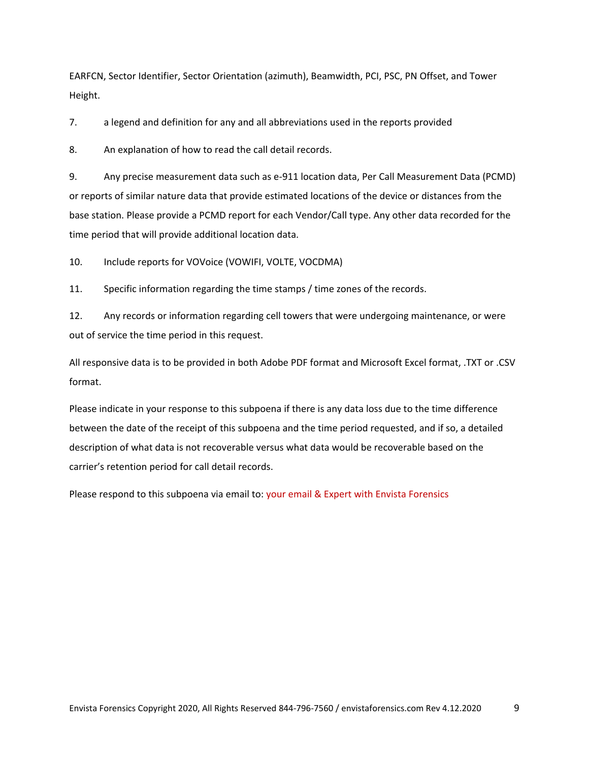EARFCN, Sector Identifier, Sector Orientation (azimuth), Beamwidth, PCI, PSC, PN Offset, and Tower Height.

7. a legend and definition for any and all abbreviations used in the reports provided

8. An explanation of how to read the call detail records.

9. Any precise measurement data such as e-911 location data, Per Call Measurement Data (PCMD) or reports of similar nature data that provide estimated locations of the device or distances from the base station. Please provide a PCMD report for each Vendor/Call type. Any other data recorded for the time period that will provide additional location data.

10. Include reports for VOVoice (VOWIFI, VOLTE, VOCDMA)

11. Specific information regarding the time stamps / time zones of the records.

12. Any records or information regarding cell towers that were undergoing maintenance, or were out of service the time period in this request.

All responsive data is to be provided in both Adobe PDF format and Microsoft Excel format, .TXT or .CSV format.

Please indicate in your response to this subpoena if there is any data loss due to the time difference between the date of the receipt of this subpoena and the time period requested, and if so, a detailed description of what data is not recoverable versus what data would be recoverable based on the carrier's retention period for call detail records.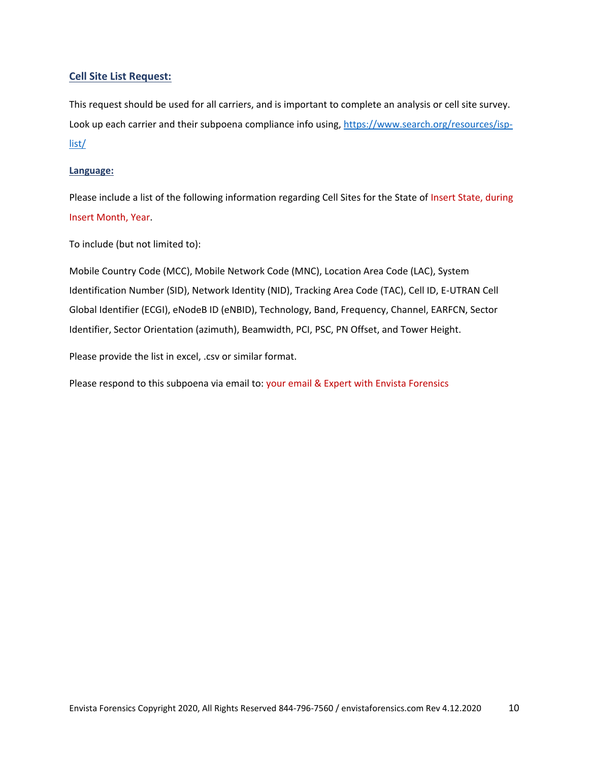# **Cell Site List Request:**

This request should be used for all carriers, and is important to complete an analysis or cell site survey. Look up each carrier and their subpoena compliance info using, [https://www.search.org/resources/isp](https://www.search.org/resources/isp-list/)[list/](https://www.search.org/resources/isp-list/)

### **Language:**

Please include a list of the following information regarding Cell Sites for the State of Insert State, during Insert Month, Year.

To include (but not limited to):

Mobile Country Code (MCC), Mobile Network Code (MNC), Location Area Code (LAC), System Identification Number (SID), Network Identity (NID), Tracking Area Code (TAC), Cell ID, E-UTRAN Cell Global Identifier (ECGI), eNodeB ID (eNBID), Technology, Band, Frequency, Channel, EARFCN, Sector Identifier, Sector Orientation (azimuth), Beamwidth, PCI, PSC, PN Offset, and Tower Height.

Please provide the list in excel, .csv or similar format.